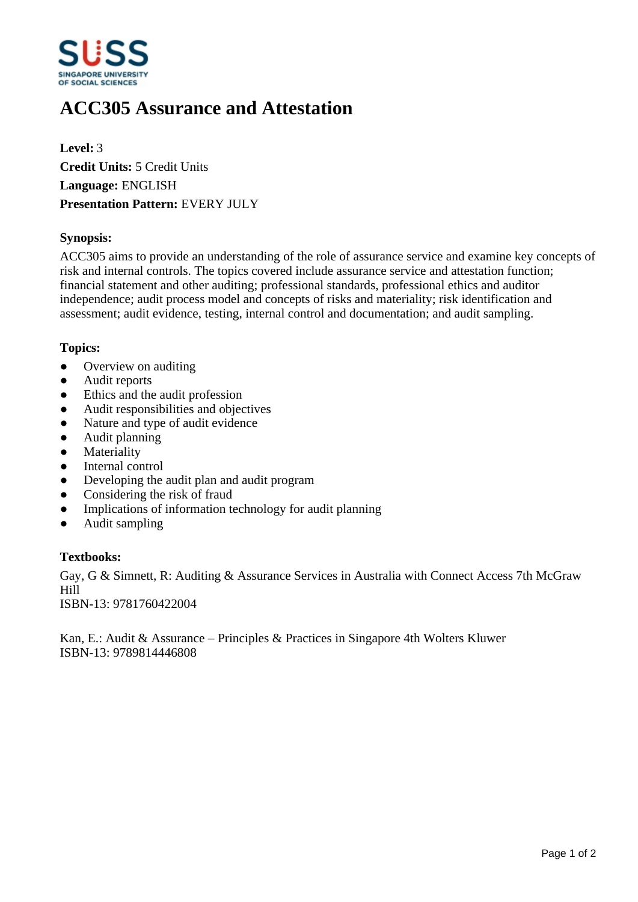

# **ACC305 Assurance and Attestation**

**Level:** 3 **Credit Units:** 5 Credit Units **Language:** ENGLISH **Presentation Pattern:** EVERY JULY

## **Synopsis:**

ACC305 aims to provide an understanding of the role of assurance service and examine key concepts of risk and internal controls. The topics covered include assurance service and attestation function; financial statement and other auditing; professional standards, professional ethics and auditor independence; audit process model and concepts of risks and materiality; risk identification and assessment; audit evidence, testing, internal control and documentation; and audit sampling.

#### **Topics:**

- Overview on auditing
- Audit reports
- Ethics and the audit profession
- Audit responsibilities and objectives
- Nature and type of audit evidence
- Audit planning
- Materiality
- Internal control
- Developing the audit plan and audit program
- Considering the risk of fraud
- Implications of information technology for audit planning
- Audit sampling

## **Textbooks:**

Gay, G & Simnett, R: Auditing & Assurance Services in Australia with Connect Access 7th McGraw Hill

ISBN-13: 9781760422004

Kan, E.: Audit & Assurance – Principles & Practices in Singapore 4th Wolters Kluwer ISBN-13: 9789814446808